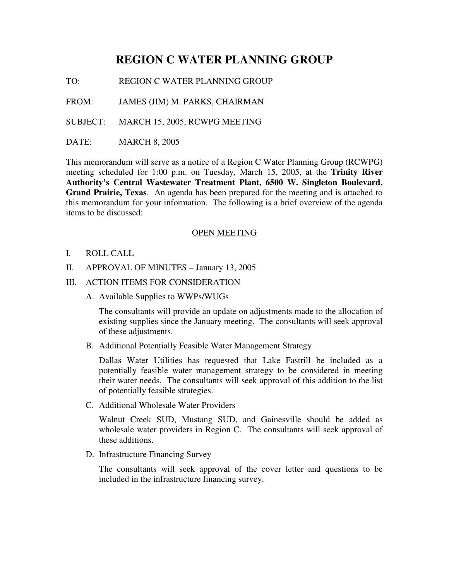## **REGION C WATER PLANNING GROUP**

TO: REGION C WATER PLANNING GROUP

FROM: JAMES (JIM) M. PARKS, CHAIRMAN

SUBJECT: MARCH 15, 2005, RCWPG MEETING

DATE: MARCH 8, 2005

This memorandum will serve as a notice of a Region C Water Planning Group (RCWPG) meeting scheduled for 1:00 p.m. on Tuesday, March 15, 2005, at the **Trinity River Authority's Central Wastewater Treatment Plant, 6500 W. Singleton Boulevard, Grand Prairie, Texas**. An agenda has been prepared for the meeting and is attached to this memorandum for your information. The following is a brief overview of the agenda items to be discussed:

## OPEN MEETING

- I. ROLL CALL
- II. APPROVAL OF MINUTES January 13, 2005
- III. ACTION ITEMS FOR CONSIDERATION
	- A. Available Supplies to WWPs/WUGs

The consultants will provide an update on adjustments made to the allocation of existing supplies since the January meeting. The consultants will seek approval of these adjustments.

B. Additional Potentially Feasible Water Management Strategy

Dallas Water Utilities has requested that Lake Fastrill be included as a potentially feasible water management strategy to be considered in meeting their water needs. The consultants will seek approval of this addition to the list of potentially feasible strategies.

C. Additional Wholesale Water Providers

Walnut Creek SUD, Mustang SUD, and Gainesville should be added as wholesale water providers in Region C. The consultants will seek approval of these additions.

D. Infrastructure Financing Survey

The consultants will seek approval of the cover letter and questions to be included in the infrastructure financing survey.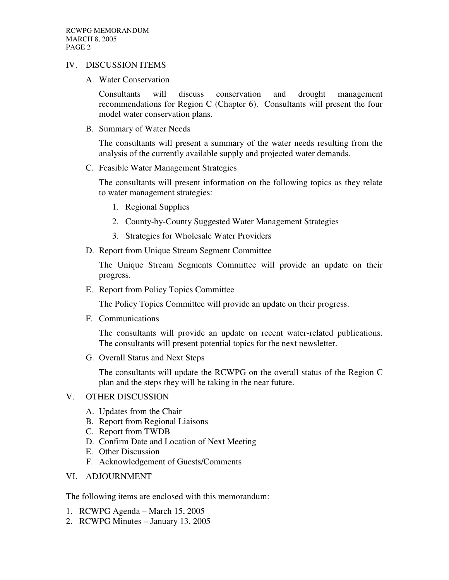## IV. DISCUSSION ITEMS

A. Water Conservation

Consultants will discuss conservation and drought management recommendations for Region C (Chapter 6). Consultants will present the four model water conservation plans.

B. Summary of Water Needs

The consultants will present a summary of the water needs resulting from the analysis of the currently available supply and projected water demands.

C. Feasible Water Management Strategies

The consultants will present information on the following topics as they relate to water management strategies:

- 1. Regional Supplies
- 2. County-by-County Suggested Water Management Strategies
- 3. Strategies for Wholesale Water Providers
- D. Report from Unique Stream Segment Committee

The Unique Stream Segments Committee will provide an update on their progress.

E. Report from Policy Topics Committee

The Policy Topics Committee will provide an update on their progress.

F. Communications

The consultants will provide an update on recent water-related publications. The consultants will present potential topics for the next newsletter.

G. Overall Status and Next Steps

The consultants will update the RCWPG on the overall status of the Region C plan and the steps they will be taking in the near future.

## V. OTHER DISCUSSION

- A. Updates from the Chair
- B. Report from Regional Liaisons
- C. Report from TWDB
- D. Confirm Date and Location of Next Meeting
- E. Other Discussion
- F. Acknowledgement of Guests/Comments
- VI. ADJOURNMENT

The following items are enclosed with this memorandum:

- 1. RCWPG Agenda March 15, 2005
- 2. RCWPG Minutes January 13, 2005